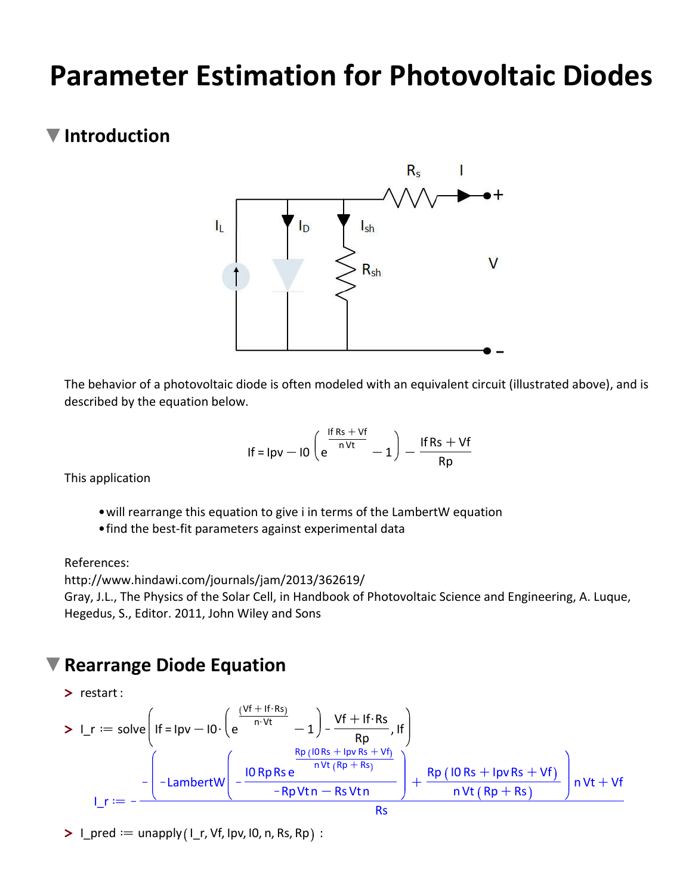# **Parameter Estimation for Photovoltaic Diodes**

### **Introduction**



The behavior of a photovoltaic diode is often modeled with an equivalent circuit (illustrated above), and is described by the equation below.

$$
If = \log - 10 \left( e^{\frac{1fRs + Vf}{nVt}} - 1 \right) - \frac{IfRs + Vf}{Rp}
$$

This application

- will rearrange this equation to give i in terms of the LambertW equation
- find the best-fit parameters against experimental data

References:

http://www.hindawi.com/journals/jam/2013/362619/

Gray, J.L., The Physics of the Solar Cell, in Handbook of Photovoltaic Science and Engineering, A. Luque, Hegedus, S., Editor. 2011, John Wiley and Sons

#### **Rearrange Diode Equation**

$$
\frac{}{\frac{\mathsf{P}}{\mathsf{P}}\mathsf{P}}\mathsf{P}} = \mathsf{solve}\left(\mathsf{F} = \mathsf{I}p\mathsf{v} - \mathsf{I0}\cdot\left(e^{\frac{(\mathsf{V}\mathsf{f} + \mathsf{I}\mathsf{f}\cdot\mathsf{Rs})}{n\cdot\mathsf{V}\mathsf{t}}}-1\right) - \frac{\mathsf{V}\mathsf{f} + \mathsf{I}\mathsf{f}\cdot\mathsf{Rs}}{Rp}, \mathsf{I}\mathsf{f}\right) \n- \left(-\frac{\mathsf{R}p\left(\mathsf{I}\mathsf{O}\mathsf{Rs} + \mathsf{I}p\mathsf{v}\mathsf{Rs} + \mathsf{V}\mathsf{f}\right)}{1-\mathsf{R}p\mathsf{V}\mathsf{t}\mathsf{R}}\right) + \frac{\mathsf{R}p\left(\mathsf{I}\mathsf{O}\mathsf{Rs} + \mathsf{I}p\mathsf{v}\mathsf{Rs} + \mathsf{V}\mathsf{f}\right)}{n\mathsf{V}\mathsf{t}\left(\mathsf{R}p + \mathsf{Rs}\right)}\right)\mathsf{n}\mathsf{V}\mathsf{t} + \mathsf{V}\mathsf{f}
$$
\n
$$
\mathsf{l}\_\mathsf{T} := -\frac{\left(-\mathsf{LambertW}\left(-\frac{\mathsf{I}\mathsf{O}\mathsf{Rp}\mathsf{Rse}^{-\frac{(\mathsf{I}\mathsf{O}\mathsf{Rs} + \mathsf{I}p\mathsf{v}\mathsf{Rs} + \mathsf{V}\mathsf{f})}{n\mathsf{V}\mathsf{t}\left(\mathsf{R}p + \mathsf{Rs}\right)}\right)\mathsf{n}\mathsf{V}\mathsf{t} + \mathsf{V}\mathsf{f}}}{Rs}
$$

 $\blacktriangleright$  I\_pred  $:=$  unapply (I\_r, Vf, Ipv, I0, n, Rs, Rp) :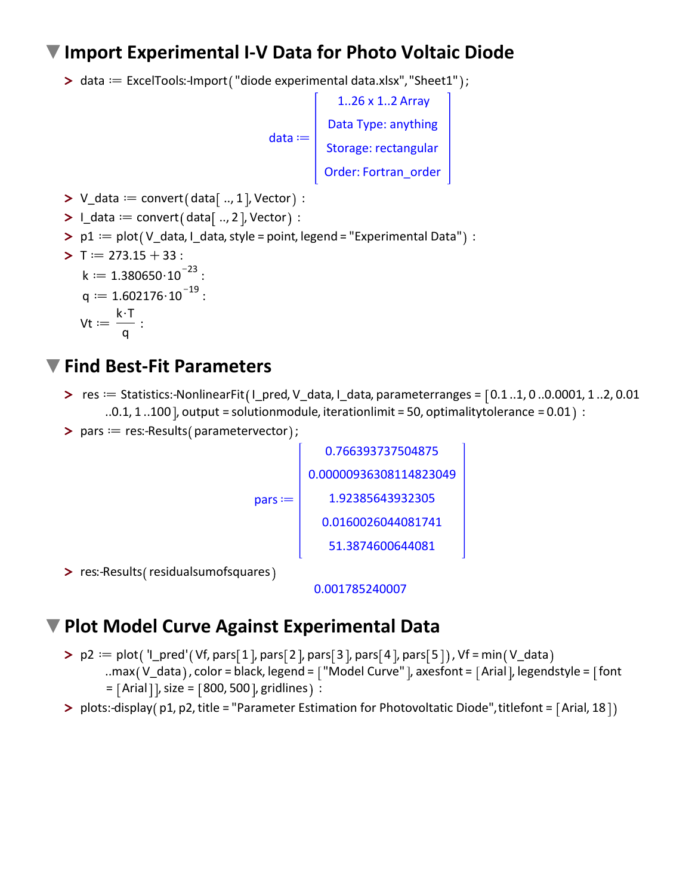#### **Import Experimental I-V Data for Photo Voltaic Diode**

> data == ExcelTools:-Import ("diode experimental data.xlsx", "Sheet1" ) ;



 $\blacktriangleright$  V\_data  $:=$  convert (data [ .., 1 ], Vector  $):$ 

```
\blacktriangleright I_data := convert (data [ .., 2 ], Vector ) :
```
 $\blacktriangleright$  p1  $:=$  plot (V\_data, I\_data, style = point, legend = "Experimental Data"  $):$ 

**>** Td273.15C33 : k d 1.380650\$10 K23 :

$$
q := 1.602176 \cdot 10^{-19}:
$$

$$
\mathsf{Vt} \coloneqq \frac{\mathsf{k} \cdot \mathsf{T}}{\mathsf{q}}:
$$

#### **Find Best-Fit Parameters**

- **>** res = Statistics:-NonlinearFit (I\_pred, V\_data, I\_data, parameterranges =  $\lceil 0.1 \ldots 1, 0 \ldots 0.0001, 1 \ldots 2, 0.01 \rceil$  $0.0.1, 1.100$ ], output = solutionmodule, iterationlimit = 50, optimalitytolerance = 0.01 :
- $\blacktriangleright$  pars  $:=$  res:-Results (parametervector);

 $pars :=$ 0.766393737504875 0.00000936308114823049 1.92385643932305 0.0160026044081741 51.3874600644081

> res:-Results (residualsumofsquares

0.001785240007

## **Plot Model Curve Against Experimental Data**

- $\texttt{> p2} := \text{plot}('I\_pred'(Vf, pars[1], pars[2], pars[3], pars[4], pars[5]), Vf = min(V\_data$ 
	- ..max (V data ), color = black, legend =  $\lceil$  "Model Curve" ], axesfont =  $\lceil$  Arial ], legendstyle =  $\lceil$  font  $=$  [Arial], size = [800, 500], gridlines  $):$
- > plots:-display(p1, p2, title = "Parameter Estimation for Photovoltatic Diode", titlefont = [Arial, 18